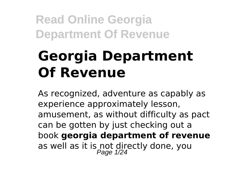# **Georgia Department Of Revenue**

As recognized, adventure as capably as experience approximately lesson, amusement, as without difficulty as pact can be gotten by just checking out a book **georgia department of revenue** as well as it is not directly done, you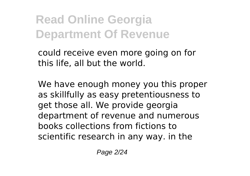could receive even more going on for this life, all but the world.

We have enough money you this proper as skillfully as easy pretentiousness to get those all. We provide georgia department of revenue and numerous books collections from fictions to scientific research in any way. in the

Page 2/24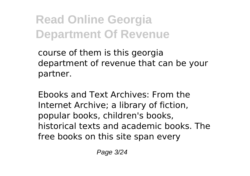course of them is this georgia department of revenue that can be your partner.

Ebooks and Text Archives: From the Internet Archive; a library of fiction, popular books, children's books, historical texts and academic books. The free books on this site span every

Page 3/24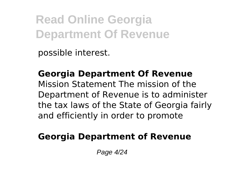possible interest.

**Georgia Department Of Revenue** Mission Statement The mission of the Department of Revenue is to administer the tax laws of the State of Georgia fairly and efficiently in order to promote

#### **Georgia Department of Revenue**

Page 4/24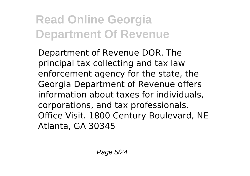Department of Revenue DOR. The principal tax collecting and tax law enforcement agency for the state, the Georgia Department of Revenue offers information about taxes for individuals, corporations, and tax professionals. Office Visit. 1800 Century Boulevard, NE Atlanta, GA 30345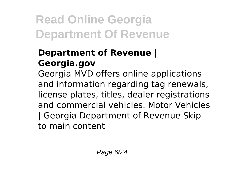### **Department of Revenue | Georgia.gov**

Georgia MVD offers online applications and information regarding tag renewals, license plates, titles, dealer registrations and commercial vehicles. Motor Vehicles | Georgia Department of Revenue Skip to main content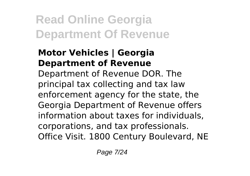#### **Motor Vehicles | Georgia Department of Revenue**

Department of Revenue DOR. The principal tax collecting and tax law enforcement agency for the state, the Georgia Department of Revenue offers information about taxes for individuals, corporations, and tax professionals. Office Visit. 1800 Century Boulevard, NE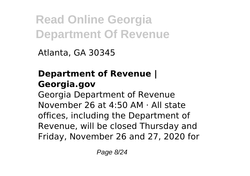Atlanta, GA 30345

### **Department of Revenue | Georgia.gov**

Georgia Department of Revenue November 26 at 4:50 AM · All state offices, including the Department of Revenue, will be closed Thursday and Friday, November 26 and 27, 2020 for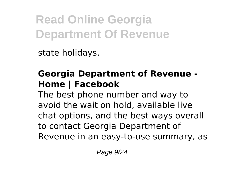state holidays.

### **Georgia Department of Revenue - Home | Facebook**

The best phone number and way to avoid the wait on hold, available live chat options, and the best ways overall to contact Georgia Department of Revenue in an easy-to-use summary, as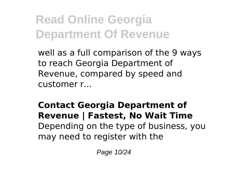well as a full comparison of the 9 ways to reach Georgia Department of Revenue, compared by speed and customer r...

**Contact Georgia Department of Revenue | Fastest, No Wait Time** Depending on the type of business, you may need to register with the

Page 10/24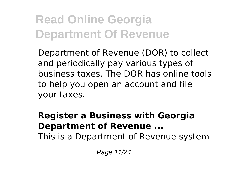Department of Revenue (DOR) to collect and periodically pay various types of business taxes. The DOR has online tools to help you open an account and file your taxes.

#### **Register a Business with Georgia Department of Revenue ...**

This is a Department of Revenue system

Page 11/24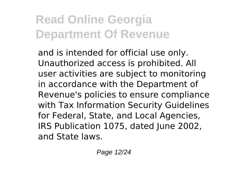and is intended for official use only. Unauthorized access is prohibited. All user activities are subject to monitoring in accordance with the Department of Revenue's policies to ensure compliance with Tax Information Security Guidelines for Federal, State, and Local Agencies, IRS Publication 1075, dated June 2002, and State laws.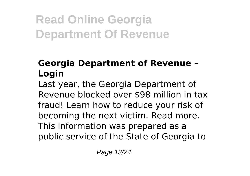### **Georgia Department of Revenue – Login**

Last year, the Georgia Department of Revenue blocked over \$98 million in tax fraud! Learn how to reduce your risk of becoming the next victim. Read more. This information was prepared as a public service of the State of Georgia to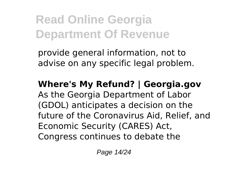provide general information, not to advise on any specific legal problem.

### **Where's My Refund? | Georgia.gov** As the Georgia Department of Labor (GDOL) anticipates a decision on the future of the Coronavirus Aid, Relief, and Economic Security (CARES) Act, Congress continues to debate the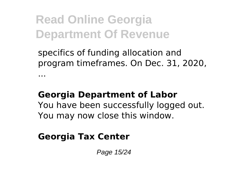specifics of funding allocation and program timeframes. On Dec. 31, 2020,

#### **Georgia Department of Labor**

You have been successfully logged out. You may now close this window.

### **Georgia Tax Center**

...

Page 15/24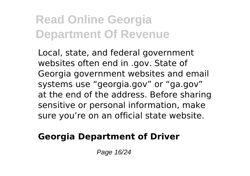Local, state, and federal government websites often end in .gov. State of Georgia government websites and email systems use "georgia.gov" or "ga.gov" at the end of the address. Before sharing sensitive or personal information, make sure you're on an official state website.

#### **Georgia Department of Driver**

Page 16/24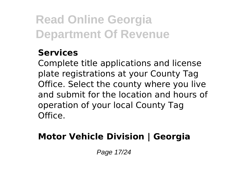#### **Services**

Complete title applications and license plate registrations at your County Tag Office. Select the county where you live and submit for the location and hours of operation of your local County Tag Office.

### **Motor Vehicle Division | Georgia**

Page 17/24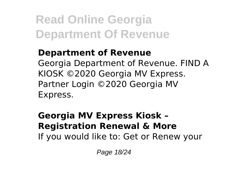#### **Department of Revenue** Georgia Department of Revenue. FIND A KIOSK ©2020 Georgia MV Express. Partner Login ©2020 Georgia MV Express.

#### **Georgia MV Express Kiosk – Registration Renewal & More** If you would like to: Get or Renew your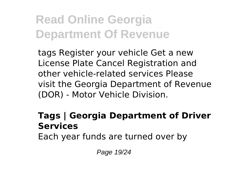tags Register your vehicle Get a new License Plate Cancel Registration and other vehicle-related services Please visit the Georgia Department of Revenue (DOR) - Motor Vehicle Division.

#### **Tags | Georgia Department of Driver Services**

Each year funds are turned over by

Page 19/24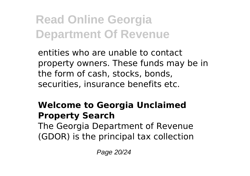entities who are unable to contact property owners. These funds may be in the form of cash, stocks, bonds, securities, insurance benefits etc.

### **Welcome to Georgia Unclaimed Property Search**

The Georgia Department of Revenue (GDOR) is the principal tax collection

Page 20/24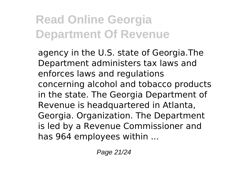agency in the U.S. state of Georgia.The Department administers tax laws and enforces laws and regulations concerning alcohol and tobacco products in the state. The Georgia Department of Revenue is headquartered in Atlanta, Georgia. Organization. The Department is led by a Revenue Commissioner and has 964 employees within ...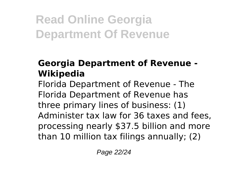#### **Georgia Department of Revenue - Wikipedia**

Florida Department of Revenue - The Florida Department of Revenue has three primary lines of business: (1) Administer tax law for 36 taxes and fees, processing nearly \$37.5 billion and more than 10 million tax filings annually; (2)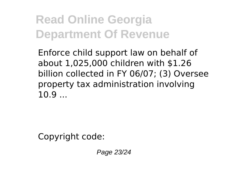Enforce child support law on behalf of about 1,025,000 children with \$1.26 billion collected in FY 06/07; (3) Oversee property tax administration involving 10.9 ...

Copyright code:

Page 23/24